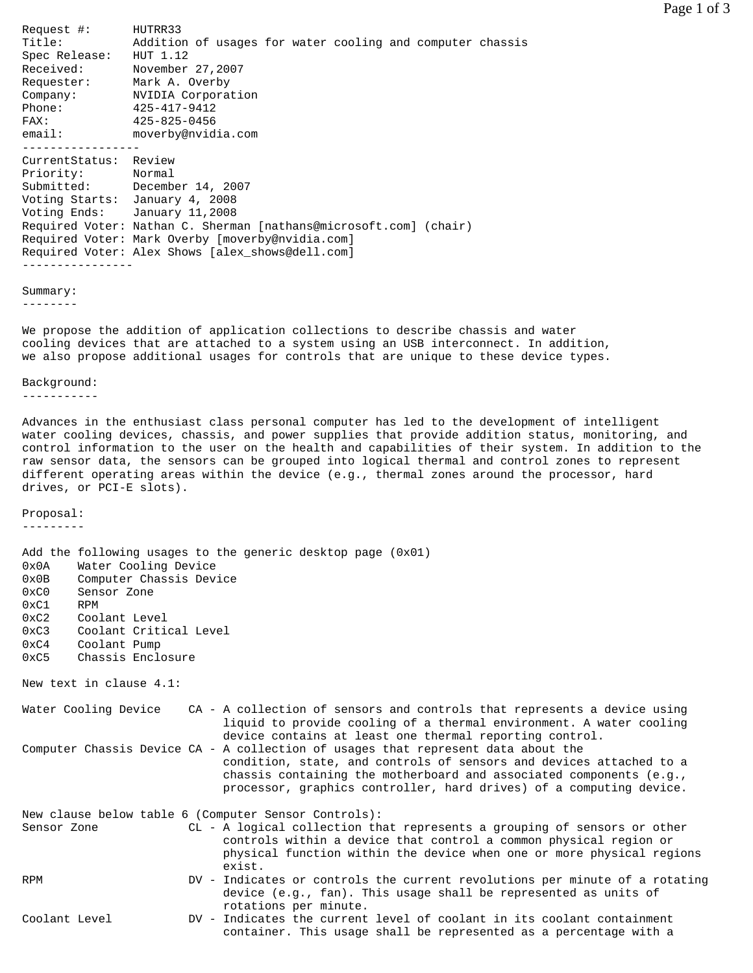Request #: HUTRR33 Title: Addition of usages for water cooling and computer chassis Spec Release: HUT 1.12 Received: November 27,2007 Requester: Mark A. Overby Company: NVIDIA Corporation Phone: 425-417-9412 FAX: 425-825-0456 email: moverby@nvidia.com ----------------- CurrentStatus: Review<br>Priority: Normal Priority: Normal Submitted: December 14, 2007 Voting Starts: January 4, 2008 Voting Ends: January 11,2008 Required Voter: Nathan C. Sherman [nathans@microsoft.com] (chair) Required Voter: Mark Overby [moverby@nvidia.com] Required Voter: Alex Shows [alex\_shows@dell.com] ----------------

Summary:

--------

We propose the addition of application collections to describe chassis and water cooling devices that are attached to a system using an USB interconnect. In addition, we also propose additional usages for controls that are unique to these device types.

## Background:

-----------

Advances in the enthusiast class personal computer has led to the development of intelligent water cooling devices, chassis, and power supplies that provide addition status, monitoring, and control information to the user on the health and capabilities of their system. In addition to the raw sensor data, the sensors can be grouped into logical thermal and control zones to represent different operating areas within the device (e.g., thermal zones around the processor, hard drives, or PCI-E slots).

## Proposal:

---------

| $0 \times 0$ A<br>0x0B<br>0xC0<br>0xC1 | Water Cooling Device<br>Computer Chassis Device<br>Sensor Zone<br><b>RPM</b> | Add the following usages to the generic desktop page $(0x01)$                                                                                                                                                                                                                                              |
|----------------------------------------|------------------------------------------------------------------------------|------------------------------------------------------------------------------------------------------------------------------------------------------------------------------------------------------------------------------------------------------------------------------------------------------------|
| 0xC2                                   | Coolant Level                                                                |                                                                                                                                                                                                                                                                                                            |
| 0xC3                                   | Coolant Critical Level                                                       |                                                                                                                                                                                                                                                                                                            |
| 0xC4                                   | Coolant Pump                                                                 |                                                                                                                                                                                                                                                                                                            |
| 0xC5                                   | Chassis Enclosure                                                            |                                                                                                                                                                                                                                                                                                            |
|                                        | New text in clause 4.1:                                                      |                                                                                                                                                                                                                                                                                                            |
|                                        | Water Cooling Device                                                         | CA - A collection of sensors and controls that represents a device using<br>liquid to provide cooling of a thermal environment. A water cooling<br>device contains at least one thermal reporting control.                                                                                                 |
|                                        |                                                                              | Computer Chassis Device CA - A collection of usages that represent data about the<br>condition, state, and controls of sensors and devices attached to a<br>chassis containing the motherboard and associated components $(e,q, r)$<br>processor, graphics controller, hard drives) of a computing device. |
|                                        |                                                                              | New clause below table 6 (Computer Sensor Controls):                                                                                                                                                                                                                                                       |
| Sensor Zone                            |                                                                              | CL - A logical collection that represents a grouping of sensors or other<br>controls within a device that control a common physical region or<br>physical function within the device when one or more physical regions<br>exist.                                                                           |
| RPM                                    |                                                                              | DV - Indicates or controls the current revolutions per minute of a rotating<br>device (e.g., fan). This usage shall be represented as units of<br>rotations per minute.                                                                                                                                    |
| Coolant Level                          |                                                                              | DV - Indicates the current level of coolant in its coolant containment<br>container. This usage shall be represented as a percentage with a                                                                                                                                                                |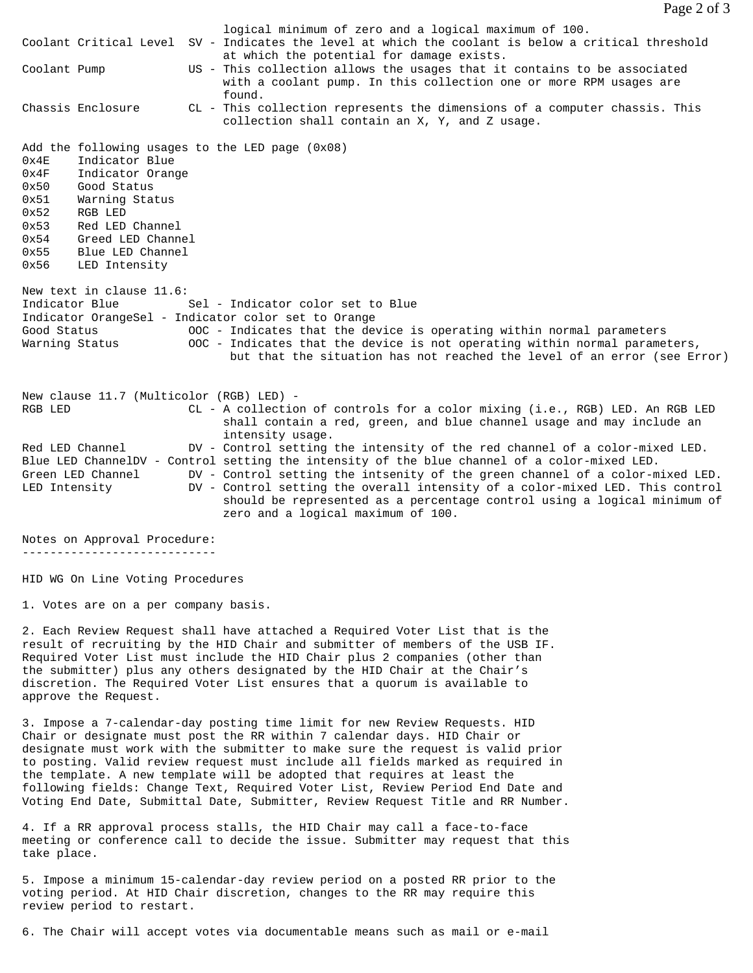|                               |                                          | logical minimum of zero and a logical maximum of 100.<br>Coolant Critical Level SV - Indicates the level at which the coolant is below a critical threshold<br>at which the potential for damage exists.                        |
|-------------------------------|------------------------------------------|---------------------------------------------------------------------------------------------------------------------------------------------------------------------------------------------------------------------------------|
| Coolant Pump                  |                                          | US - This collection allows the usages that it contains to be associated<br>with a coolant pump. In this collection one or more RPM usages are<br>found.                                                                        |
|                               | Chassis Enclosure                        | CL - This collection represents the dimensions of a computer chassis. This<br>collection shall contain an X, Y, and Z usage.                                                                                                    |
|                               |                                          | Add the following usages to the LED page $(0x08)$                                                                                                                                                                               |
| 0x4E                          | Indicator Blue                           |                                                                                                                                                                                                                                 |
| 0x4F<br>0x50                  | Indicator Orange<br>Good Status          |                                                                                                                                                                                                                                 |
| 0x51                          | Warning Status                           |                                                                                                                                                                                                                                 |
| 0x52                          | RGB LED                                  |                                                                                                                                                                                                                                 |
| 0x53                          | Red LED Channel                          |                                                                                                                                                                                                                                 |
| 0x54                          | Greed LED Channel                        |                                                                                                                                                                                                                                 |
| 0x55                          | Blue LED Channel                         |                                                                                                                                                                                                                                 |
| 0x56                          | LED Intensity                            |                                                                                                                                                                                                                                 |
|                               | New text in clause 11.6:                 |                                                                                                                                                                                                                                 |
| Indicator Blue                |                                          | Sel - Indicator color set to Blue                                                                                                                                                                                               |
|                               |                                          | Indicator OrangeSel - Indicator color set to Orange                                                                                                                                                                             |
| Good Status<br>Warning Status |                                          | OOC - Indicates that the device is operating within normal parameters<br>OOC - Indicates that the device is not operating within normal parameters,<br>but that the situation has not reached the level of an error (see Error) |
|                               | New clause 11.7 (Multicolor (RGB) LED) - |                                                                                                                                                                                                                                 |
| RGB LED                       |                                          | CL - A collection of controls for a color mixing (i.e., RGB) LED. An RGB LED<br>shall contain a red, green, and blue channel usage and may include an<br>intensity usage.                                                       |
|                               | Red LED Channel                          | DV - Control setting the intensity of the red channel of a color-mixed LED.                                                                                                                                                     |
|                               |                                          | Blue LED ChannelDV - Control setting the intensity of the blue channel of a color-mixed LED.                                                                                                                                    |
|                               | Green LED Channel                        | DV - Control setting the intsenity of the green channel of a color-mixed LED.                                                                                                                                                   |
| LED Intensity                 |                                          | DV - Control setting the overall intensity of a color-mixed LED. This control<br>should be represented as a percentage control using a logical minimum of<br>zero and a logical maximum of 100.                                 |

Notes on Approval Procedure: ----------------------------

HID WG On Line Voting Procedures

1. Votes are on a per company basis.

2. Each Review Request shall have attached a Required Voter List that is the result of recruiting by the HID Chair and submitter of members of the USB IF. Required Voter List must include the HID Chair plus 2 companies (other than the submitter) plus any others designated by the HID Chair at the Chair's discretion. The Required Voter List ensures that a quorum is available to approve the Request.

3. Impose a 7-calendar-day posting time limit for new Review Requests. HID Chair or designate must post the RR within 7 calendar days. HID Chair or designate must work with the submitter to make sure the request is valid prior to posting. Valid review request must include all fields marked as required in the template. A new template will be adopted that requires at least the following fields: Change Text, Required Voter List, Review Period End Date and Voting End Date, Submittal Date, Submitter, Review Request Title and RR Number.

4. If a RR approval process stalls, the HID Chair may call a face-to-face meeting or conference call to decide the issue. Submitter may request that this take place.

5. Impose a minimum 15-calendar-day review period on a posted RR prior to the voting period. At HID Chair discretion, changes to the RR may require this review period to restart.

6. The Chair will accept votes via documentable means such as mail or e-mail